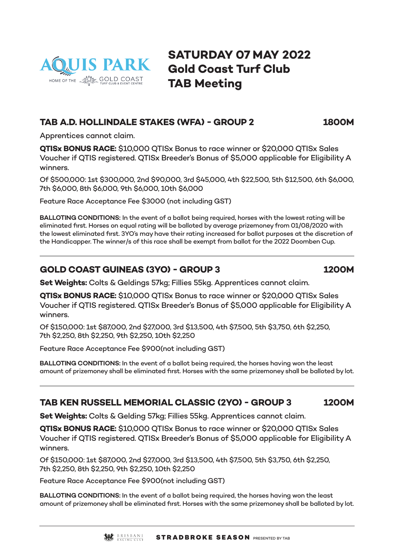

**SATURDAY 07 MAY 2022 Gold Coast Turf Club TAB Meeting**

### **TAB A.D. HOLLINDALE STAKES (WFA) - GROUP 2 1800M**

Apprentices cannot claim.

**QTISx BONUS RACE:** \$10,000 QTISx Bonus to race winner or \$20,000 QTISx Sales Voucher if QTIS registered. QTISx Breeder's Bonus of \$5,000 applicable for Eligibility A winners.

Of \$500,000: 1st \$300,000, 2nd \$90,000, 3rd \$45,000, 4th \$22,500, 5th \$12,500, 6th \$6,000, 7th \$6,000, 8th \$6,000, 9th \$6,000, 10th \$6,000

Feature Race Acceptance Fee \$3000 (not including GST)

**BALLOTING CONDITIONS:** In the event of a ballot being required, horses with the lowest rating will be eliminated first. Horses on equal rating will be balloted by average prizemoney from 01/08/2020 with the lowest eliminated first. 3YO's may have their rating increased for ballot purposes at the discretion of the Handicapper. The winner/s of this race shall be exempt from ballot for the 2022 Doomben Cup.

## **GOLD COAST GUINEAS (3YO) - GROUP 3 1200M**

**Set Weights:** Colts & Geldings 57kg; Fillies 55kg. Apprentices cannot claim.

**QTISx BONUS RACE:** \$10,000 QTISx Bonus to race winner or \$20,000 QTISx Sales Voucher if QTIS registered. QTISx Breeder's Bonus of \$5,000 applicable for Eligibility A winners.

Of \$150,000: 1st \$87,000, 2nd \$27,000, 3rd \$13,500, 4th \$7,500, 5th \$3,750, 6th \$2,250, 7th \$2,250, 8th \$2,250, 9th \$2,250, 10th \$2,250

Feature Race Acceptance Fee \$900(not including GST)

**BALLOTING CONDITIONS:** In the event of a ballot being required, the horses having won the least amount of prizemoney shall be eliminated first. Horses with the same prizemoney shall be balloted by lot.

## **TAB KEN RUSSELL MEMORIAL CLASSIC (2YO) - GROUP 3 1200M**

**Set Weights:** Colts & Gelding 57kg; Fillies 55kg. Apprentices cannot claim.

**QTISx BONUS RACE:** \$10,000 QTISx Bonus to race winner or \$20,000 QTISx Sales Voucher if QTIS registered. QTISx Breeder's Bonus of \$5,000 applicable for Eligibility A winners.

Of \$150,000: 1st \$87,000, 2nd \$27,000, 3rd \$13,500, 4th \$7,500, 5th \$3,750, 6th \$2,250, 7th \$2,250, 8th \$2,250, 9th \$2,250, 10th \$2,250

Feature Race Acceptance Fee \$900(not including GST)

**BALLOTING CONDITIONS:** In the event of a ballot being required, the horses having won the least amount of prizemoney shall be eliminated first. Horses with the same prizemoney shall be balloted by lot.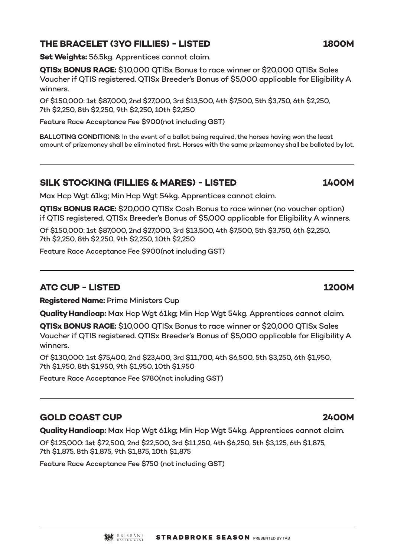### **THE BRACELET (3YO FILLIES) - LISTED 1800M**

**Set Weights:** 56.5kg. Apprentices cannot claim.

**QTISx BONUS RACE:** \$10,000 QTISx Bonus to race winner or \$20,000 QTISx Sales Voucher if QTIS registered. QTISx Breeder's Bonus of \$5,000 applicable for Eligibility A winners.

Of \$150,000: 1st \$87,000, 2nd \$27,000, 3rd \$13,500, 4th \$7,500, 5th \$3,750, 6th \$2,250, 7th \$2,250, 8th \$2,250, 9th \$2,250, 10th \$2,250

Feature Race Acceptance Fee \$900(not including GST)

**BALLOTING CONDITIONS:** In the event of a ballot being required, the horses having won the least amount of prizemoney shall be eliminated first. Horses with the same prizemoney shall be balloted by lot.

### **SILK STOCKING (FILLIES & MARES) - LISTED 1400M**

Max Hcp Wgt 61kg; Min Hcp Wgt 54kg. Apprentices cannot claim.

**QTISx BONUS RACE:** \$20,000 QTISx Cash Bonus to race winner (no voucher option) if QTIS registered. QTISx Breeder's Bonus of \$5,000 applicable for Eligibility A winners.

Of \$150,000: 1st \$87,000, 2nd \$27,000, 3rd \$13,500, 4th \$7,500, 5th \$3,750, 6th \$2,250, 7th \$2,250, 8th \$2,250, 9th \$2,250, 10th \$2,250

**Quality Handicap:** Max Hcp Wgt 61kg; Min Hcp Wgt 54kg. Apprentices cannot claim. **QTISx BONUS RACE:** \$10,000 QTISx Bonus to race winner or \$20,000 QTISx Sales Voucher if QTIS registered. QTISx Breeder's Bonus of \$5,000 applicable for Eligibility A

Of \$130,000: 1st \$75,400, 2nd \$23,400, 3rd \$11,700, 4th \$6,500, 5th \$3,250, 6th \$1,950,

Feature Race Acceptance Fee \$900(not including GST)

### **ATC CUP - LISTED 1200M**

winners.

**Registered Name:** Prime Ministers Cup

7th \$1,950, 8th \$1,950, 9th \$1,950, 10th \$1,950

Feature Race Acceptance Fee \$780(not including GST)

**STRADBROKE SEASON** PRESENTED BY TAB **RACING CLUB** 

## **GOLD COAST CUP 2400M**

**Quality Handicap:** Max Hcp Wgt 61kg; Min Hcp Wgt 54kg. Apprentices cannot claim.

Of \$125,000: 1st \$72,500, 2nd \$22,500, 3rd \$11,250, 4th \$6,250, 5th \$3,125, 6th \$1,875, 7th \$1,875, 8th \$1,875, 9th \$1,875, 10th \$1,875

Feature Race Acceptance Fee \$750 (not including GST)